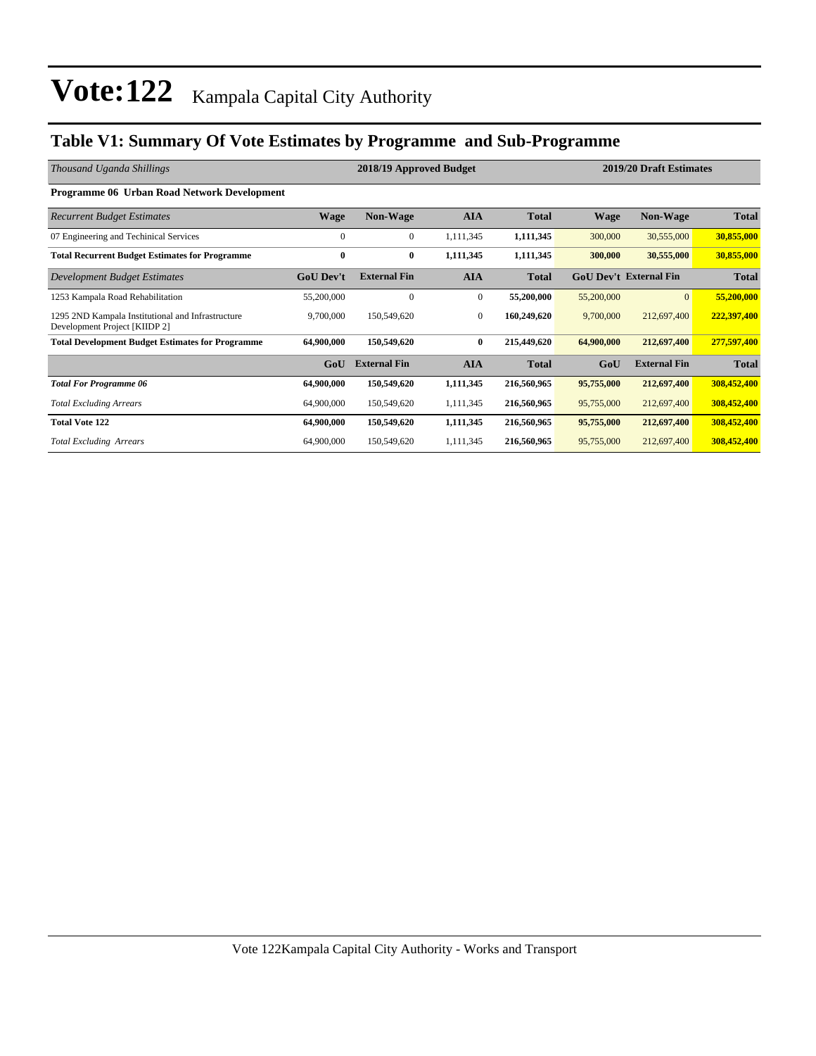### **Table V1: Summary Of Vote Estimates by Programme and Sub-Programme**

| Thousand Uganda Shillings                                                          |                  | 2018/19 Approved Budget |              |              |                               |                     | 2019/20 Draft Estimates |  |  |
|------------------------------------------------------------------------------------|------------------|-------------------------|--------------|--------------|-------------------------------|---------------------|-------------------------|--|--|
| <b>Programme 06 Urban Road Network Development</b>                                 |                  |                         |              |              |                               |                     |                         |  |  |
| <b>Recurrent Budget Estimates</b>                                                  | <b>Wage</b>      | <b>Non-Wage</b>         | <b>AIA</b>   | <b>Total</b> | <b>Wage</b>                   | <b>Non-Wage</b>     | <b>Total</b>            |  |  |
| 07 Engineering and Techinical Services                                             | $\mathbf{0}$     | $\overline{0}$          | 1,111,345    | 1,111,345    | 300,000                       | 30,555,000          | 30,855,000              |  |  |
| <b>Total Recurrent Budget Estimates for Programme</b>                              | $\bf{0}$         | 0                       | 1,111,345    | 1,111,345    | 300,000                       | 30,555,000          | 30,855,000              |  |  |
| Development Budget Estimates                                                       | <b>GoU</b> Dev't | <b>External Fin</b>     | <b>AIA</b>   | <b>Total</b> | <b>GoU Dev't External Fin</b> |                     | <b>Total</b>            |  |  |
| 1253 Kampala Road Rehabilitation                                                   | 55,200,000       | 0                       | $\mathbf{0}$ | 55,200,000   | 55,200,000                    | $\overline{0}$      | 55,200,000              |  |  |
| 1295 2ND Kampala Institutional and Infrastructure<br>Development Project [KIIDP 2] | 9,700,000        | 150,549,620             | $\mathbf{0}$ | 160,249,620  | 9,700,000                     | 212,697,400         | 222,397,400             |  |  |
| <b>Total Development Budget Estimates for Programme</b>                            | 64,900,000       | 150,549,620             | $\bf{0}$     | 215,449,620  | 64,900,000                    | 212,697,400         | 277,597,400             |  |  |
|                                                                                    | GoU              | <b>External Fin</b>     | <b>AIA</b>   | <b>Total</b> | GoU                           | <b>External Fin</b> | <b>Total</b>            |  |  |
| <b>Total For Programme 06</b>                                                      | 64,900,000       | 150,549,620             | 1,111,345    | 216,560,965  | 95,755,000                    | 212,697,400         | 308,452,400             |  |  |
| <b>Total Excluding Arrears</b>                                                     | 64,900,000       | 150,549,620             | 1,111,345    | 216,560,965  | 95,755,000                    | 212,697,400         | 308,452,400             |  |  |
| <b>Total Vote 122</b>                                                              | 64,900,000       | 150,549,620             | 1,111,345    | 216,560,965  | 95,755,000                    | 212,697,400         | 308,452,400             |  |  |
| <b>Total Excluding Arrears</b>                                                     | 64,900,000       | 150,549,620             | 1,111,345    | 216,560,965  | 95,755,000                    | 212,697,400         | 308,452,400             |  |  |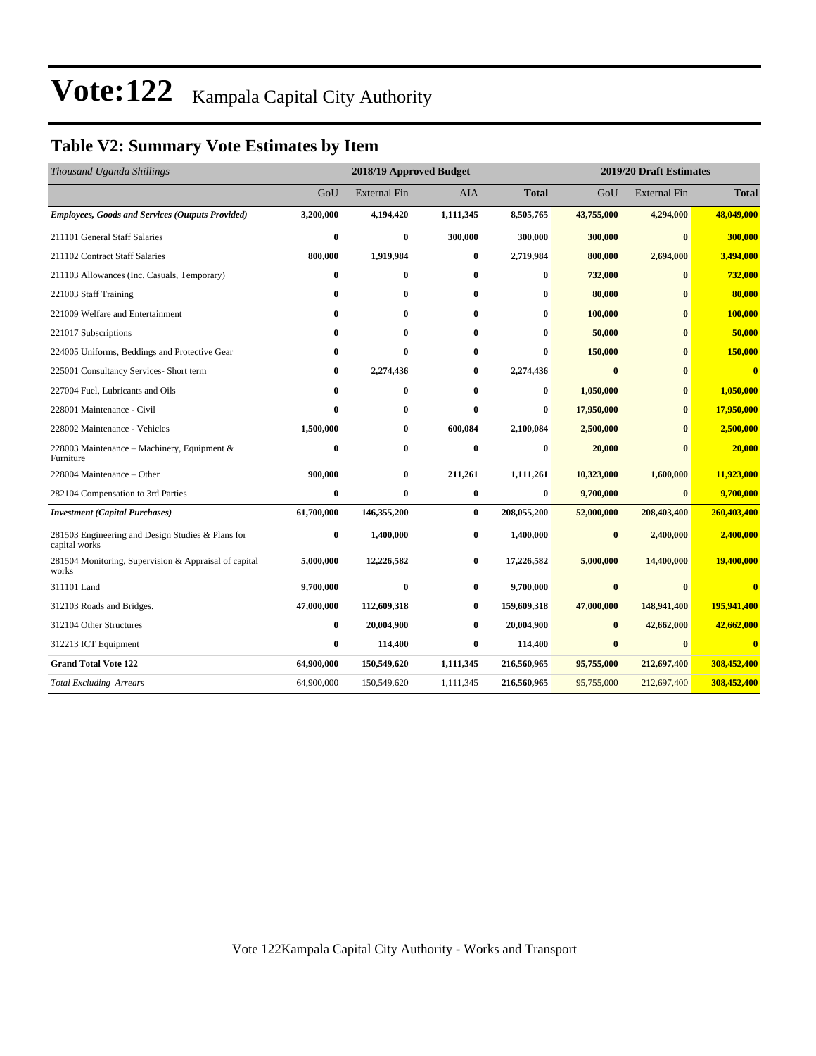### **Table V2: Summary Vote Estimates by Item**

| Thousand Uganda Shillings                                          |              | 2018/19 Approved Budget |            |              | 2019/20 Draft Estimates |                     |                         |  |
|--------------------------------------------------------------------|--------------|-------------------------|------------|--------------|-------------------------|---------------------|-------------------------|--|
|                                                                    | GoU          | <b>External Fin</b>     | <b>AIA</b> | <b>Total</b> | GoU                     | <b>External Fin</b> | <b>Total</b>            |  |
| <b>Employees, Goods and Services (Outputs Provided)</b>            | 3,200,000    | 4,194,420               | 1,111,345  | 8,505,765    | 43,755,000              | 4,294,000           | 48,049,000              |  |
| 211101 General Staff Salaries                                      | $\bf{0}$     | $\bf{0}$                | 300,000    | 300,000      | 300,000                 | $\bf{0}$            | 300,000                 |  |
| 211102 Contract Staff Salaries                                     | 800,000      | 1,919,984               | 0          | 2,719,984    | 800,000                 | 2,694,000           | 3,494,000               |  |
| 211103 Allowances (Inc. Casuals, Temporary)                        | $\bf{0}$     | $\bf{0}$                | 0          | 0            | 732,000                 | $\bf{0}$            | 732,000                 |  |
| 221003 Staff Training                                              | $\bf{0}$     | $\bf{0}$                | 0          | 0            | 80,000                  | 0                   | 80,000                  |  |
| 221009 Welfare and Entertainment                                   | $\bf{0}$     | 0                       | 0          | $\bf{0}$     | 100,000                 | $\mathbf{0}$        | 100,000                 |  |
| 221017 Subscriptions                                               | $\mathbf{0}$ | $\bf{0}$                | 0          | $\bf{0}$     | 50,000                  | $\mathbf{0}$        | 50,000                  |  |
| 224005 Uniforms, Beddings and Protective Gear                      | $\bf{0}$     | $\bf{0}$                | 0          | $\bf{0}$     | 150,000                 | $\mathbf{0}$        | 150,000                 |  |
| 225001 Consultancy Services- Short term                            | $\bf{0}$     | 2,274,436               | 0          | 2,274,436    | $\bf{0}$                | 0                   | $\overline{\mathbf{0}}$ |  |
| 227004 Fuel, Lubricants and Oils                                   | $\bf{0}$     | $\bf{0}$                | 0          | $\bf{0}$     | 1,050,000               | $\bf{0}$            | 1,050,000               |  |
| 228001 Maintenance - Civil                                         | $\mathbf{0}$ | 0                       | 0          | $\bf{0}$     | 17,950,000              | $\mathbf{0}$        | 17,950,000              |  |
| 228002 Maintenance - Vehicles                                      | 1,500,000    | $\bf{0}$                | 600,084    | 2,100,084    | 2,500,000               | $\mathbf{0}$        | 2,500,000               |  |
| 228003 Maintenance - Machinery, Equipment &<br>Furniture           | $\bf{0}$     | $\bf{0}$                | $\bf{0}$   | $\bf{0}$     | 20,000                  | 0                   | 20,000                  |  |
| 228004 Maintenance – Other                                         | 900,000      | $\bf{0}$                | 211,261    | 1,111,261    | 10,323,000              | 1,600,000           | 11,923,000              |  |
| 282104 Compensation to 3rd Parties                                 | $\bf{0}$     | $\bf{0}$                | $\bf{0}$   | $\bf{0}$     | 9,700,000               | $\bf{0}$            | 9,700,000               |  |
| <b>Investment</b> (Capital Purchases)                              | 61,700,000   | 146,355,200             | 0          | 208,055,200  | 52,000,000              | 208,403,400         | 260,403,400             |  |
| 281503 Engineering and Design Studies & Plans for<br>capital works | $\bf{0}$     | 1,400,000               | 0          | 1,400,000    | $\bf{0}$                | 2,400,000           | 2,400,000               |  |
| 281504 Monitoring, Supervision & Appraisal of capital<br>works     | 5,000,000    | 12,226,582              | 0          | 17,226,582   | 5,000,000               | 14,400,000          | 19,400,000              |  |
| 311101 Land                                                        | 9,700,000    | $\bf{0}$                | $\bf{0}$   | 9,700,000    | $\bf{0}$                |                     |                         |  |
| 312103 Roads and Bridges.                                          | 47,000,000   | 112,609,318             | 0          | 159,609,318  | 47,000,000              | 148,941,400         | 195,941,400             |  |
| 312104 Other Structures                                            | $\bf{0}$     | 20,004,900              | 0          | 20,004,900   | $\bf{0}$                | 42,662,000          | 42,662,000              |  |
| 312213 ICT Equipment                                               | $\bf{0}$     | 114,400                 | 0          | 114,400      | $\bf{0}$                | $\mathbf{0}$        | $\overline{\mathbf{0}}$ |  |
| <b>Grand Total Vote 122</b>                                        | 64,900,000   | 150,549,620             | 1,111,345  | 216,560,965  | 95,755,000              | 212,697,400         | 308,452,400             |  |
| <b>Total Excluding Arrears</b>                                     | 64,900,000   | 150,549,620             | 1,111,345  | 216,560,965  | 95,755,000              | 212,697,400         | 308,452,400             |  |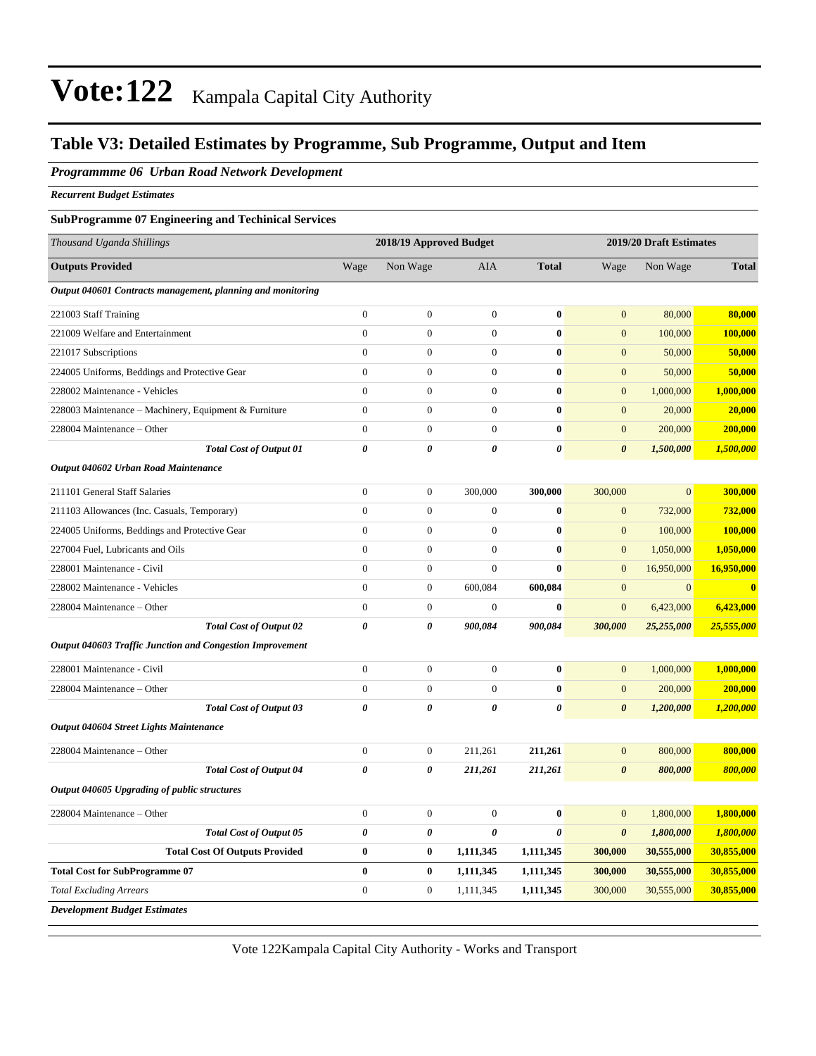### **Table V3: Detailed Estimates by Programme, Sub Programme, Output and Item**

#### *Programmme 06 Urban Road Network Development*

*Recurrent Budget Estimates*

#### **SubProgramme 07 Engineering and Techinical Services**

| Thousand Uganda Shillings                                   | 2018/19 Approved Budget |                       |                  |              | 2019/20 Draft Estimates |              |              |
|-------------------------------------------------------------|-------------------------|-----------------------|------------------|--------------|-------------------------|--------------|--------------|
| <b>Outputs Provided</b>                                     | Wage                    | Non Wage              | <b>AIA</b>       | <b>Total</b> | Wage                    | Non Wage     | <b>Total</b> |
| Output 040601 Contracts management, planning and monitoring |                         |                       |                  |              |                         |              |              |
| 221003 Staff Training                                       | $\overline{0}$          | $\boldsymbol{0}$      | $\boldsymbol{0}$ | $\bf{0}$     | $\mathbf{0}$            | 80,000       | 80,000       |
| 221009 Welfare and Entertainment                            | $\overline{0}$          | $\mathbf{0}$          | $\mathbf{0}$     | $\bf{0}$     | $\overline{0}$          | 100,000      | 100,000      |
| 221017 Subscriptions                                        | $\overline{0}$          | $\overline{0}$        | $\theta$         | $\bf{0}$     | $\overline{0}$          | 50,000       | 50,000       |
| 224005 Uniforms, Beddings and Protective Gear               | $\overline{0}$          | $\mathbf{0}$          | $\mathbf{0}$     | $\bf{0}$     | $\overline{0}$          | 50,000       | 50,000       |
| 228002 Maintenance - Vehicles                               | $\overline{0}$          | $\mathbf{0}$          | $\theta$         | $\bf{0}$     | $\overline{0}$          | 1,000,000    | 1,000,000    |
| 228003 Maintenance - Machinery, Equipment & Furniture       | $\overline{0}$          | $\mathbf{0}$          | $\overline{0}$   | $\bf{0}$     | $\overline{0}$          | 20,000       | 20,000       |
| 228004 Maintenance - Other                                  | $\overline{0}$          | $\mathbf{0}$          | $\theta$         | $\bf{0}$     | $\overline{0}$          | 200,000      | 200,000      |
| <b>Total Cost of Output 01</b>                              | $\theta$                | $\theta$              | $\theta$         | 0            | $\boldsymbol{\theta}$   | 1,500,000    | 1,500,000    |
| Output 040602 Urban Road Maintenance                        |                         |                       |                  |              |                         |              |              |
| 211101 General Staff Salaries                               | $\boldsymbol{0}$        | $\boldsymbol{0}$      | 300,000          | 300,000      | 300,000                 | $\mathbf{0}$ | 300,000      |
| 211103 Allowances (Inc. Casuals, Temporary)                 | $\overline{0}$          | $\boldsymbol{0}$      | $\boldsymbol{0}$ | $\bf{0}$     | $\mathbf{0}$            | 732,000      | 732,000      |
| 224005 Uniforms, Beddings and Protective Gear               | $\boldsymbol{0}$        | $\boldsymbol{0}$      | $\boldsymbol{0}$ | $\bf{0}$     | $\mathbf{0}$            | 100,000      | 100,000      |
| 227004 Fuel, Lubricants and Oils                            | $\overline{0}$          | $\boldsymbol{0}$      | $\boldsymbol{0}$ | $\bf{0}$     | $\mathbf{0}$            | 1,050,000    | 1,050,000    |
| 228001 Maintenance - Civil                                  | $\overline{0}$          | $\boldsymbol{0}$      | $\mathbf{0}$     | $\bf{0}$     | $\mathbf{0}$            | 16,950,000   | 16,950,000   |
| 228002 Maintenance - Vehicles                               | $\overline{0}$          | $\boldsymbol{0}$      | 600,084          | 600,084      | $\mathbf{0}$            | $\mathbf{0}$ | $\mathbf{0}$ |
| 228004 Maintenance - Other                                  | $\overline{0}$          | $\boldsymbol{0}$      | $\mathbf{0}$     | $\bf{0}$     | $\overline{0}$          | 6,423,000    | 6,423,000    |
| <b>Total Cost of Output 02</b>                              | $\theta$                | $\boldsymbol{\theta}$ | 900,084          | 900,084      | 300,000                 | 25,255,000   | 25,555,000   |
| Output 040603 Traffic Junction and Congestion Improvement   |                         |                       |                  |              |                         |              |              |
| 228001 Maintenance - Civil                                  | $\boldsymbol{0}$        | $\boldsymbol{0}$      | $\boldsymbol{0}$ | $\bf{0}$     | $\mathbf{0}$            | 1,000,000    | 1,000,000    |
| 228004 Maintenance – Other                                  | $\boldsymbol{0}$        | $\boldsymbol{0}$      | $\boldsymbol{0}$ | $\bf{0}$     | $\mathbf{0}$            | 200,000      | 200,000      |
| <b>Total Cost of Output 03</b>                              | $\boldsymbol{\theta}$   | 0                     | $\pmb{\theta}$   | 0            | $\boldsymbol{\theta}$   | 1,200,000    | 1,200,000    |
| Output 040604 Street Lights Maintenance                     |                         |                       |                  |              |                         |              |              |
| 228004 Maintenance - Other                                  | $\boldsymbol{0}$        | $\boldsymbol{0}$      | 211,261          | 211,261      | $\overline{0}$          | 800,000      | 800,000      |
| <b>Total Cost of Output 04</b>                              | $\boldsymbol{\theta}$   | $\theta$              | 211,261          | 211,261      | $\boldsymbol{\theta}$   | 800,000      | 800,000      |
| Output 040605 Upgrading of public structures                |                         |                       |                  |              |                         |              |              |
| 228004 Maintenance - Other                                  | $\boldsymbol{0}$        | $\boldsymbol{0}$      | $\boldsymbol{0}$ | $\bf{0}$     | $\mathbf{0}$            | 1,800,000    | 1,800,000    |
| <b>Total Cost of Output 05</b>                              | $\pmb{\theta}$          | 0                     | $\pmb{\theta}$   | 0            | $\boldsymbol{\theta}$   | 1,800,000    | 1,800,000    |
| <b>Total Cost Of Outputs Provided</b>                       | $\bf{0}$                | $\bf{0}$              | 1,111,345        | 1,111,345    | 300,000                 | 30,555,000   | 30,855,000   |
| <b>Total Cost for SubProgramme 07</b>                       | $\bf{0}$                | $\bf{0}$              | 1,111,345        | 1,111,345    | 300,000                 | 30,555,000   | 30,855,000   |
| <b>Total Excluding Arrears</b>                              | $\boldsymbol{0}$        | $\boldsymbol{0}$      | 1,111,345        | 1,111,345    | 300,000                 | 30,555,000   | 30,855,000   |
| <b>Development Budget Estimates</b>                         |                         |                       |                  |              |                         |              |              |

Vote 122Kampala Capital City Authority - Works and Transport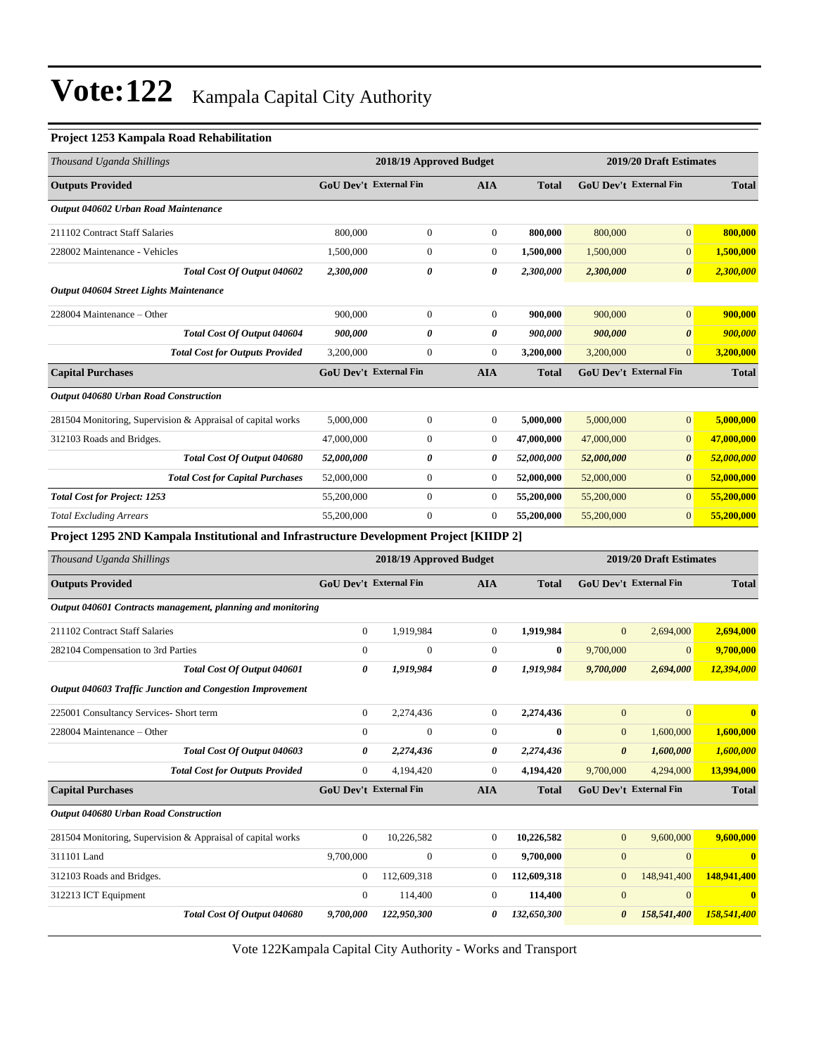### **Project 1253 Kampala Road Rehabilitation**

| Thousand Uganda Shillings                                                               | 2018/19 Approved Budget                            |                  |                  | 2019/20 Draft Estimates |                        |                               |              |
|-----------------------------------------------------------------------------------------|----------------------------------------------------|------------------|------------------|-------------------------|------------------------|-------------------------------|--------------|
| <b>Outputs Provided</b>                                                                 | <b>GoU Dev't External Fin</b>                      |                  | <b>AIA</b>       | <b>Total</b>            |                        | <b>GoU Dev't External Fin</b> | <b>Total</b> |
| Output 040602 Urban Road Maintenance                                                    |                                                    |                  |                  |                         |                        |                               |              |
| 211102 Contract Staff Salaries                                                          | 800,000                                            | $\overline{0}$   | $\overline{0}$   | 800,000                 | 800,000                | $\overline{0}$                | 800,000      |
| 228002 Maintenance - Vehicles                                                           | 1,500,000                                          | $\mathbf{0}$     | $\overline{0}$   | 1,500,000               | 1,500,000              | $\overline{0}$                | 1,500,000    |
| Total Cost Of Output 040602                                                             | 2,300,000                                          | 0                | 0                | 2,300,000               | 2,300,000              | $\boldsymbol{\theta}$         | 2,300,000    |
| Output 040604 Street Lights Maintenance                                                 |                                                    |                  |                  |                         |                        |                               |              |
| 228004 Maintenance – Other                                                              | 900,000                                            | $\boldsymbol{0}$ | $\boldsymbol{0}$ | 900,000                 | 900,000                | $\overline{0}$                | 900,000      |
| Total Cost Of Output 040604                                                             | 900,000                                            | 0                | 0                | 900,000                 | 900,000                | $\boldsymbol{\theta}$         | 900,000      |
| <b>Total Cost for Outputs Provided</b>                                                  | 3,200,000                                          | $\boldsymbol{0}$ | $\boldsymbol{0}$ | 3,200,000               | 3,200,000              | $\mathbf{0}$                  | 3,200,000    |
| <b>Capital Purchases</b>                                                                | <b>GoU Dev't External Fin</b>                      |                  | <b>AIA</b>       | <b>Total</b>            |                        | <b>GoU Dev't External Fin</b> | <b>Total</b> |
| Output 040680 Urban Road Construction                                                   |                                                    |                  |                  |                         |                        |                               |              |
| 281504 Monitoring, Supervision & Appraisal of capital works                             | 5,000,000                                          | $\boldsymbol{0}$ | $\boldsymbol{0}$ | 5,000,000               | 5,000,000              | $\mathbf{0}$                  | 5,000,000    |
| 312103 Roads and Bridges.                                                               | 47,000,000                                         | $\overline{0}$   | $\boldsymbol{0}$ | 47,000,000              | 47,000,000             | $\mathbf{0}$                  | 47,000,000   |
| Total Cost Of Output 040680                                                             | 52,000,000                                         | 0                | 0                | 52,000,000              | 52,000,000             | $\boldsymbol{\theta}$         | 52,000,000   |
| <b>Total Cost for Capital Purchases</b>                                                 | 52,000,000                                         | $\overline{0}$   | 0                | 52,000,000              | 52,000,000             | $\mathbf{0}$                  | 52,000,000   |
| <b>Total Cost for Project: 1253</b>                                                     | 55,200,000                                         | $\boldsymbol{0}$ | $\boldsymbol{0}$ | 55,200,000              | 55,200,000             | $\mathbf{0}$                  | 55,200,000   |
| <b>Total Excluding Arrears</b>                                                          | 55,200,000                                         | $\overline{0}$   | $\boldsymbol{0}$ | 55,200,000              | 55,200,000             | $\mathbf{0}$                  | 55,200,000   |
| Project 1295 2ND Kampala Institutional and Infrastructure Development Project [KIIDP 2] |                                                    |                  |                  |                         |                        |                               |              |
| Thousand Uganda Shillings                                                               | 2019/20 Draft Estimates<br>2018/19 Approved Budget |                  |                  |                         |                        |                               |              |
| <b>Outputs Provided</b>                                                                 | <b>GoU Dev't External Fin</b>                      |                  | <b>AIA</b>       | <b>Total</b>            | GoU Dev't External Fin |                               | <b>Total</b> |
| Output 040601 Contracts management, planning and monitoring                             |                                                    |                  |                  |                         |                        |                               |              |
| 211102 Contract Staff Salaries                                                          | $\boldsymbol{0}$                                   | 1,919,984        | $\boldsymbol{0}$ | 1,919,984               | $\overline{0}$         | 2,694,000                     | 2,694,000    |
| 282104 Compensation to 3rd Parties                                                      | $\mathbf{0}$                                       | $\Omega$         | $\boldsymbol{0}$ | $\bf{0}$                | 9,700,000              | $\mathbf{0}$                  | 9,700,000    |
| Total Cost Of Output 040601                                                             | 0                                                  | 1,919,984        | 0                | 1,919,984               | 9,700,000              | 2,694,000                     | 12,394,000   |
| Output 040603 Traffic Junction and Congestion Improvement                               |                                                    |                  |                  |                         |                        |                               |              |
| 225001 Consultancy Services- Short term                                                 | $\boldsymbol{0}$                                   | 2,274,436        | $\boldsymbol{0}$ | 2,274,436               | $\mathbf{0}$           | $\mathbf{0}$                  | $\mathbf{0}$ |
| 228004 Maintenance – Other                                                              | $\theta$                                           | $\mathbf{0}$     | $\overline{0}$   | $\bf{0}$                | $\mathbf{0}$           | 1.600.000                     | 1,600,000    |
| Total Cost Of Output 040603                                                             | 0                                                  | 2,274,436        | 0                | 2,274,436               | $\boldsymbol{\theta}$  | 1,600,000                     | 1,600,000    |
| <b>Total Cost for Outputs Provided</b>                                                  | $\mathbf{0}$                                       | 4,194,420        | $\boldsymbol{0}$ | 4,194,420               | 9,700,000              | 4,294,000                     | 13,994,000   |
| <b>Capital Purchases</b>                                                                | GoU Dev't External Fin                             |                  | <b>AIA</b>       | <b>Total</b>            |                        | <b>GoU Dev't External Fin</b> | <b>Total</b> |
| Output 040680 Urban Road Construction                                                   |                                                    |                  |                  |                         |                        |                               |              |
| 281504 Monitoring, Supervision & Appraisal of capital works                             | $\boldsymbol{0}$                                   | 10,226,582       | 0                | 10,226,582              | $\boldsymbol{0}$       | 9,600,000                     | 9,600,000    |
| 311101 Land                                                                             | 9,700,000                                          | $\boldsymbol{0}$ | $\boldsymbol{0}$ | 9,700,000               | $\boldsymbol{0}$       | $\mathbf{0}$                  | $\mathbf{0}$ |
| 312103 Roads and Bridges.                                                               | $\boldsymbol{0}$                                   | 112,609,318      | 0                | 112,609,318             | $\boldsymbol{0}$       | 148,941,400                   | 148,941,400  |
| 312213 ICT Equipment                                                                    | $\boldsymbol{0}$                                   | 114,400          | $\boldsymbol{0}$ | 114,400                 | $\boldsymbol{0}$       | $\mathbf{0}$                  | $\bf{0}$     |
| Total Cost Of Output 040680                                                             | 9,700,000                                          | 122,950,300      | 0                | 132,650,300             | 0                      | 158,541,400                   | 158,541,400  |

Vote 122Kampala Capital City Authority - Works and Transport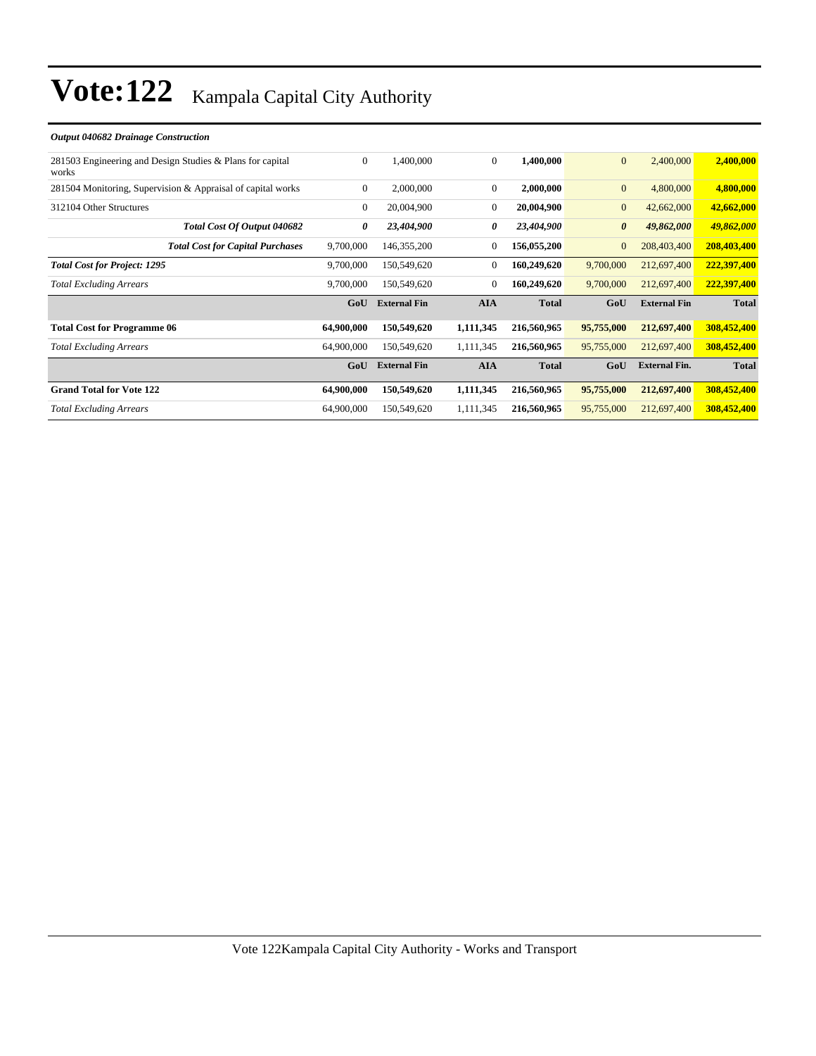| 0              | 1,400,000           | $\overline{0}$ | 1,400,000    | $\mathbf{0}$          | 2,400,000            | 2,400,000    |
|----------------|---------------------|----------------|--------------|-----------------------|----------------------|--------------|
| $\overline{0}$ | 2,000,000           | $\overline{0}$ | 2,000,000    | $\mathbf{0}$          | 4,800,000            | 4,800,000    |
| $\overline{0}$ | 20,004,900          | $\overline{0}$ | 20,004,900   | $\mathbf{0}$          | 42,662,000           | 42,662,000   |
| 0              | 23,404,900          | 0              | 23,404,900   | $\boldsymbol{\theta}$ | 49,862,000           | 49,862,000   |
| 9,700,000      | 146, 355, 200       | $\overline{0}$ | 156,055,200  | $\mathbf{0}$          | 208,403,400          | 208,403,400  |
| 9,700,000      | 150,549,620         | $\Omega$       | 160,249,620  | 9,700,000             | 212,697,400          | 222,397,400  |
| 9,700,000      | 150,549,620         | $\overline{0}$ | 160,249,620  | 9,700,000             | 212,697,400          | 222,397,400  |
| GoU            | <b>External Fin</b> | <b>AIA</b>     | <b>Total</b> | GoU                   | <b>External Fin</b>  | <b>Total</b> |
| 64,900,000     | 150,549,620         | 1,111,345      | 216,560,965  | 95,755,000            | 212,697,400          | 308,452,400  |
| 64,900,000     | 150,549,620         | 1,111,345      | 216,560,965  | 95,755,000            | 212,697,400          | 308,452,400  |
| GoU            | <b>External Fin</b> | <b>AIA</b>     | <b>Total</b> | GoU                   | <b>External Fin.</b> | <b>Total</b> |
| 64,900,000     | 150,549,620         | 1,111,345      | 216,560,965  | 95,755,000            | 212,697,400          | 308,452,400  |
| 64,900,000     | 150,549,620         | 1,111,345      | 216,560,965  | 95,755,000            | 212,697,400          | 308,452,400  |
|                |                     |                |              |                       |                      |              |